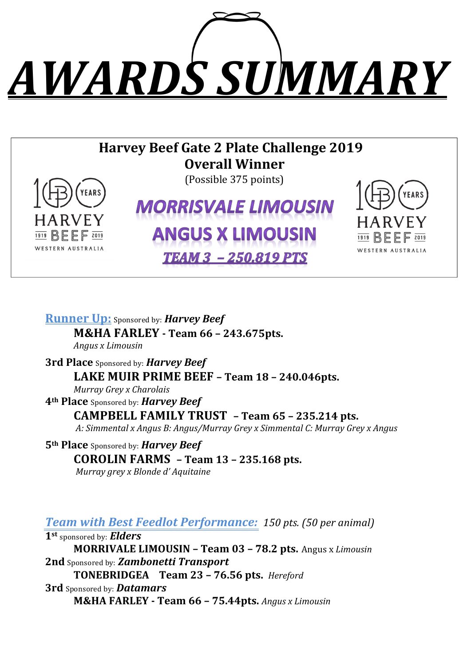# *AWARDS SUMMARY*

# **Harvey Beef Gate 2 Plate Challenge 2019 Overall Winner**



(Possible 375 points)

# **MORRISVALE LIMOUSIN ANGUS X LIMOUSIN**

**TEAM 3 - 250.819 PTS** 



**Runner Up:** Sponsored by: *Harvey Beef* **M&HA FARLEY - Team 66 – 243.675pts.**

*Angus x Limousin*

**3rd Place** Sponsored by: *Harvey Beef* **LAKE MUIR PRIME BEEF - Team 18 - 240.046pts.** *Murray Grey x Charolais* 

**4th Place** Sponsored by: *Harvey Beef*

**CAMPBELL FAMILY TRUST – Team 65 – 235.214 pts.**

*A: Simmental x Angus B: Angus/Murray Grey x Simmental C: Murray Grey x Angus*

**5th Place** Sponsored by: **Harvey Beef COROLIN FARMS – Team 13 – 235.168 pts.** *Murray grey x Blonde d' Aquitaine* 

*Team with Best Feedlot Performance: 150 pts. (50 per animal)* 

**1st** sponsored by: *Elders*

**MORRIVALE LIMOUSIN - Team 03 - 78.2 pts.** Angus x Limousin **2nd** Sponsored by: **Zambonetti Transport** 

**TONEBRIDGEA Team 23 - 76.56 pts.** Hereford

**3rd** Sponsored by: *Datamars*

**M&HA FARLEY - Team 66 – 75.44pts.** *Angus x Limousin*